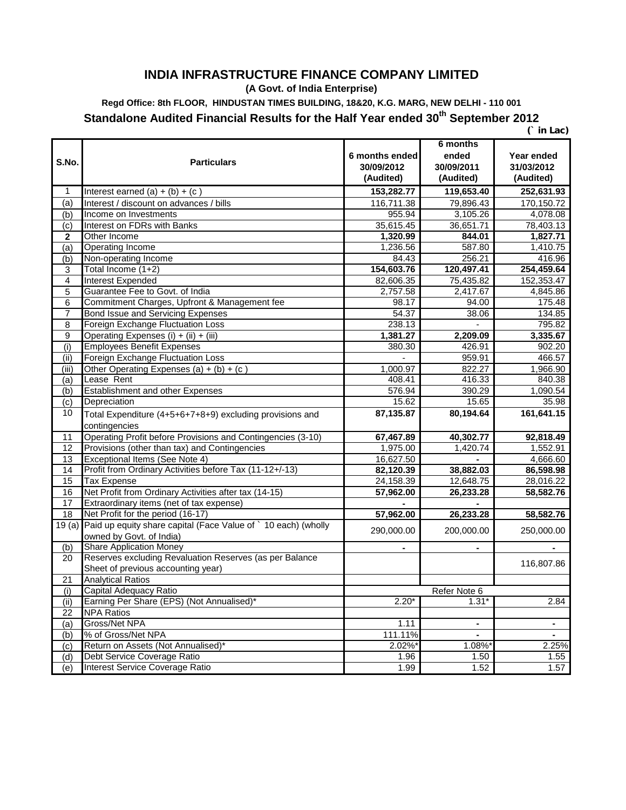## **INDIA INFRASTRUCTURE FINANCE COMPANY LIMITED**

**(A Govt. of India Enterprise)**

**Regd Office: 8th FLOOR, HINDUSTAN TIMES BUILDING, 18&20, K.G. MARG, NEW DELHI - 110 001**

**Standalone Audited Financial Results for the Half Year ended 30th September 2012**

 **(` in Lac)** 

| S.No.           | <b>Particulars</b>                                             | 6 months ended<br>30/09/2012 | 6 months<br>ended<br>30/09/2011 | Year ended<br>31/03/2012 |
|-----------------|----------------------------------------------------------------|------------------------------|---------------------------------|--------------------------|
|                 |                                                                | (Audited)                    | (Audited)                       | (Audited)                |
| 1               | Interest earned $(a) + (b) + (c)$                              | 153,282.77                   | 119,653.40                      | 252,631.93               |
| (a)             | Interest / discount on advances / bills                        | 116,711.38                   | 79,896.43                       | 170,150.72               |
| (b)             | Income on Investments                                          | 955.94                       | 3,105.26                        | 4,078.08                 |
| (c)             | Interest on FDRs with Banks                                    | 35,615.45                    | 36,651.71                       | 78,403.13                |
| $\bf{2}$        | Other Income                                                   | 1,320.99                     | 844.01                          | 1,827.71                 |
| (a)             | <b>Operating Income</b>                                        | 1,236.56                     | 587.80                          | 1,410.75                 |
| (b)             | Non-operating Income                                           | 84.43                        | 256.21                          | 416.96                   |
| 3               | Total Income (1+2)                                             | 154,603.76                   | 120,497.41                      | 254,459.64               |
| 4               | Interest Expended                                              | 82,606.35                    | 75,435.82                       | 152,353.47               |
| 5               | Guarantee Fee to Govt. of India                                | 2,757.58                     | 2,417.67                        | 4,845.86                 |
| 6               | Commitment Charges, Upfront & Management fee                   | 98.17                        | 94.00                           | 175.48                   |
| $\overline{7}$  | Bond Issue and Servicing Expenses                              | 54.37                        | 38.06                           | 134.85                   |
| 8               | Foreign Exchange Fluctuation Loss                              | 238.13                       |                                 | 795.82                   |
| 9               | Operating Expenses (i) + (ii) + (iii)                          | 1,381.27                     | 2,209.09                        | 3,335.67                 |
| (i)             | <b>Employees Benefit Expenses</b>                              | 380.30                       | 426.91                          | 902.20                   |
| (ii)            | Foreign Exchange Fluctuation Loss                              |                              | 959.91                          | 466.57                   |
| (iii)           | Other Operating Expenses $(a) + (b) + (c)$                     | 1,000.97                     | 822.27                          | 1,966.90                 |
| (a)             | Lease Rent                                                     | 408.41                       | 416.33                          | 840.38                   |
| (b)             | Establishment and other Expenses                               | 576.94                       | 390.29                          | 1,090.54                 |
| (c)             | Depreciation                                                   | 15.62                        | 15.65                           | 35.98                    |
| 10              | Total Expenditure (4+5+6+7+8+9) excluding provisions and       | 87,135.87                    | 80,194.64                       | 161,641.15               |
|                 | contingencies                                                  |                              |                                 |                          |
| 11              | Operating Profit before Provisions and Contingencies (3-10)    | 67,467.89                    | 40,302.77                       | 92,818.49                |
| 12              | Provisions (other than tax) and Contingencies                  | 1,975.00                     | 1,420.74                        | 1,552.91                 |
| 13              | Exceptional Items (See Note 4)                                 | 16,627.50                    |                                 | 4,666.60                 |
| 14              | Profit from Ordinary Activities before Tax (11-12+/-13)        | 82,120.39                    | 38,882.03                       | 86,598.98                |
| 15              | <b>Tax Expense</b>                                             | 24,158.39                    | 12,648.75                       | 28,016.22                |
| 16              | Net Profit from Ordinary Activities after tax (14-15)          | 57,962.00                    | 26,233.28                       | 58,582.76                |
| 17              | Extraordinary items (net of tax expense)                       |                              |                                 |                          |
| 18              | Net Profit for the period (16-17)                              | 57,962.00                    | 26,233.28                       | 58,582.76                |
| 19(a)           | Paid up equity share capital (Face Value of ` 10 each) (wholly | 290,000.00                   | 200,000.00                      |                          |
|                 | owned by Govt. of India)                                       |                              |                                 | 250,000.00               |
| (b)             | <b>Share Application Money</b>                                 |                              |                                 |                          |
| 20              | Reserves excluding Revaluation Reserves (as per Balance        |                              |                                 | 116,807.86               |
|                 | Sheet of previous accounting year)                             |                              |                                 |                          |
| $\overline{21}$ | <b>Analytical Ratios</b>                                       |                              |                                 |                          |
| (i)             | Capital Adequacy Ratio                                         | Refer Note 6                 |                                 |                          |
| (i)             | Earning Per Share (EPS) (Not Annualised)*                      | $2.20*$                      | $1.31*$                         | 2.84                     |
| 22              | <b>NPA Ratios</b>                                              |                              |                                 |                          |
| (a)             | Gross/Net NPA                                                  | 1.11                         | $\blacksquare$                  | $\blacksquare$           |
| (b)             | % of Gross/Net NPA                                             | 111.11%                      | $\blacksquare$                  | $\blacksquare$           |
| (c)             | Return on Assets (Not Annualised)*                             | 2.02%*                       | 1.08%*                          | 2.25%                    |
| (d)             | Debt Service Coverage Ratio                                    | 1.96                         | 1.50                            | 1.55                     |
| (e)             | Interest Service Coverage Ratio                                | 1.99                         | 1.52                            | 1.57                     |